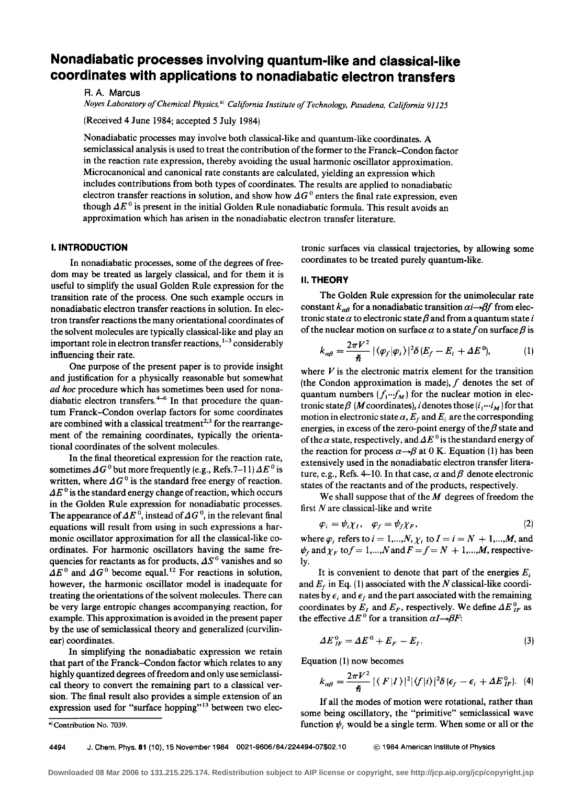# **Nonadiabatic processes involving quantum-like and classical-like coordinates with applications to nonadiabatic electron transfers**

A. A. Marcus

*Noyes Laboratory of Chemical Physics,* •I *California Institute of Technology, Pasadena, California 91125* 

(Received 4 June 1984; accepted 5 July 1984)

Nonadiabatic processes may involve both classical-like and quantum-like coordinates. A semiclassical analysis is used to treat the contribution of the former to the Franck-Condon factor in the reaction rate expression, thereby avoiding the usual harmonic oscillator approximation. Microcanonical and canonical rate constants are calculated, yielding an expression which includes contributions from both types of coordinates. The results are applied to nonadiabatic electron transfer reactions in solution, and show how  $\Delta G^0$  enters the final rate expression, even though  $\Delta E^0$  is present in the initial Golden Rule nonadiabatic formula. This result avoids an approximation which has arisen in the nonadiabatic electron transfer literature.

## I. **INTRODUCTION**

In nonadiabatic processes, some of the degrees of freedom may be treated as largely classical, and for them it is useful to simplify the usual Golden Rule expression for the transition rate of the process. One such example occurs in nonadiabatic electron transfer reactions in solution. In electron transfer reactions the many orientational coordinates of the solvent molecules are typically classical-like and play an important role in electron transfer reactions,  $1-3$  considerably influencing their rate.

One purpose of the present paper is to provide insight and justification for a physically reasonable but somewhat *ad hoc* procedure which has sometimes been used for nonadiabatic electron transfers. $4-6$  In that procedure the quantum Franck-Condon overlap factors for some coordinates are combined with a classical treatment<sup>2,3</sup> for the rearrangement of the remaining coordinates, typically the orientationa! coordinates of the solvent molecules.

In the final theoretical expression for the reaction rate, sometimes  $\Delta G^0$  but more frequently (e.g., Refs. 7–11)  $\Delta E^0$  is written, where  $\Delta G^0$  is the standard free energy of reaction.  $\Delta E^0$  is the standard energy change of reaction, which occurs in the Golden Rule expression for nonadiabatic processes. The appearance of  $\Delta E^0$ , instead of  $\Delta G^0$ , in the relevant final equations will result from using in such expressions a harmonic oscillator approximation for all the classical-like coordinates. For harmonic oscillators having the same frequencies for reactants as for products,  $\Delta S^0$  vanishes and so  $\Delta E^0$  and  $\Delta G^0$  become equal.<sup>12</sup> For reactions in solution, however, the harmonic oscillator model is inadequate for treating the orientations of the solvent molecules. There can be very large entropic changes accompanying reaction, for example. This approximation is avoided in the present paper by the use of semiclassical theory and generalized (curvilinear) coordinates.

In simplifying the nonadiabatic expression we retain that part of the Franck-Condon factor which relates to any highly quantized degrees of freedom and only use semiclassical theory to convert the remaining part to a classical version. The final result also provides a simple extension of an expression used for "surface hopping"<sup>13</sup> between two electronic surfaces via classical trajectories, by allowing some coordinates to be treated purely quantum-like.

## II. **THEORY**

The Golden Rule expression for the unimolecular rate constant  $k_{\alpha\beta}$  for a nonadiabatic transition  $\alpha i \rightarrow \beta f$  from electronic state  $\alpha$  to electronic state  $\beta$  and from a quantum state *i* of the nuclear motion on surface  $\alpha$  to a state f on surface  $\beta$  is

$$
k_{\alpha\beta} = \frac{2\pi V^2}{\hbar} |\langle \varphi_f | \varphi_i \rangle|^2 \delta(E_f - E_i + \Delta E^0), \tag{1}
$$

where  $V$  is the electronic matrix element for the transition (the Condon approximation is made),  $f$  denotes the set of quantum numbers  $(f_1 \cdots f_M)$  for the nuclear motion in electronic state  $\beta$  (*M* coordinates), *i* denotes those  $(i_1 \cdots i_M)$  for that motion in electronic state  $\alpha$ ,  $E_f$  and  $E_i$  are the corresponding energies, in excess of the zero-point energy of the  $\beta$  state and of the  $\alpha$  state, respectively, and  $\Delta E^0$  is the standard energy of the reaction for process  $\alpha \rightarrow \beta$  at 0 K. Equation (1) has been extensively used in the nonadiabatic electron transfer literature, e.g., Refs. 4–10. In that case,  $\alpha$  and  $\beta$  denote electronic states of the reactants and of the products, respectively.

We shall suppose that of the  $M$  degrees of freedom the first  $N$  are classical-like and write

$$
\varphi_i = \psi_i \chi_I, \quad \varphi_f = \psi_f \chi_F, \tag{2}
$$

where  $\varphi_i$  refers to  $i = 1,...,N$ ,  $\chi_i$  to  $I = i = N + 1,...,M$ , and  $\psi_f$  and  $\chi_F$  to  $f = 1,...,N$  and  $F = f = N + 1,...,M$ , respectively.

It is convenient to denote that part of the energies  $E_i$ and  $E_f$  in Eq. (1) associated with the N classical-like coordinates by  $\epsilon_i$  and  $\epsilon_f$  and the part associated with the remaining coordinates by  $E_I$  and  $E_F$ , respectively. We define  $\Delta E_{IF}^0$  as the effective  $\Delta E^0$  for a transition  $\alpha I \rightarrow \beta F$ :

$$
\Delta E_{IF}^{0} = \Delta E^{0} + E_{F} - E_{I}.
$$
\n(3)

Equation  $(1)$  now becomes

$$
k_{\alpha\beta} = \frac{2\pi V^2}{\hbar} | \langle F|I \rangle |^2 | \langle f|i \rangle |^2 \delta \left( \epsilon_f - \epsilon_i + \Delta E_{IF}^0 \right). \tag{4}
$$

If all the modes of motion were rotational, rather than some being oscillatory, the "primitive" semiclassical wave function  $\psi_i$ , would be a single term. When some or all or the

<sup>&</sup>lt;sup>a)</sup> Contribution No. 7039.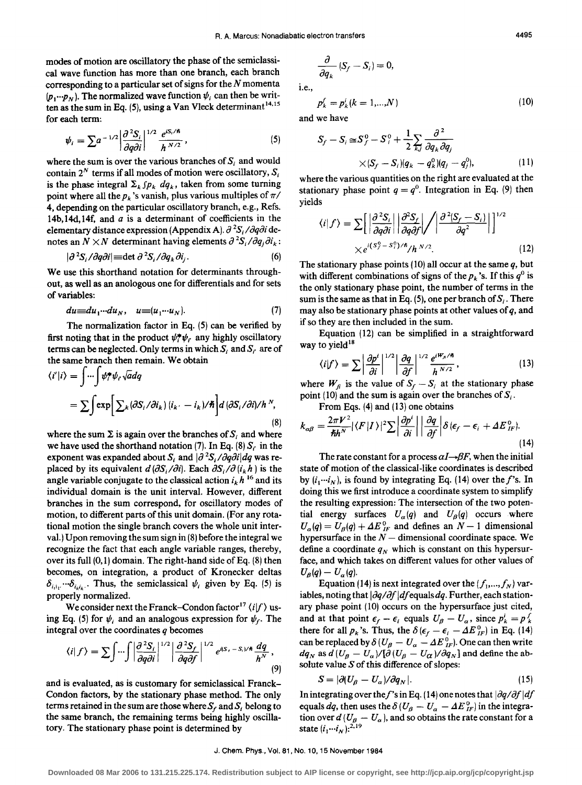modes of motion are oscillatory the phase of the semiclassical wave function has more than one branch, each branch corresponding to a particular set of signs for the  $N$  momenta  $(p_1 \cdots p_N)$ . The normalized wave function  $\psi_i$  can then be written as the sum in Eq.  $(5)$ , using a Van Vleck determinant<sup>14,15</sup> for each term:

$$
\psi_i = \sum a^{-1/2} \left| \frac{\partial^2 S_i}{\partial q \partial i} \right|^{1/2} \frac{e^{i S_i/\hbar}}{h^{N/2}},
$$
\n(5)

where the sum is over the various branches of  $S_i$  and would contain  $2^N$  terms if all modes of motion were oscillatory,  $S_i$ is the phase integral  $\Sigma_k$   $\int p_k dq_k$ , taken from some turning point where all the  $p_k$ 's vanish, plus various multiples of  $\pi/$ 4, depending on the particular oscillatory branch, e.g., Refs. 14b, 14d, 14f, and  $a$  is a determinant of coefficients in the elementary distance expression (Appendix A).  $\partial^2 S_i / \partial q \partial i$  denotes an  $N \times N$  determinant having elements  $\partial^2 S_i / \partial q_j \partial i_k$ :

$$
|\partial^2 S_i / \partial q \partial i| = \det \partial^2 S_i / \partial q_k \partial i_j. \tag{6}
$$

We use this shorthand notation for determinants throughout, as well as an analogous one for differentials and for sets of variables:

$$
du \equiv du_1 \cdots du_N, \quad u \equiv (u_1 \cdots u_N). \tag{7}
$$

The normalization factor in Eq. (5) can be verified by first noting that in the product  $\psi_i^* \psi_i$  any highly oscillatory terms can be neglected. Only terms in which  $S_i$  and  $S_i'$  are of the same branch then remain. We obtain

$$
\langle i'|i\rangle = \int \cdots \int \psi_i^* \psi_i \sqrt{a} dq
$$
  
=  $\sum \int \exp \Biggl[ \sum_k (\partial S_i / \partial i_k) (i_k - i_k) / \hbar \Biggr] d (\partial S_i / \partial i) / \hbar^N,$  (8)

where the sum  $\Sigma$  is again over the branches of S; and where we have used the shorthand notation (7). In Eq. (8)  $S_i$  in the exponent was expanded about  $S_i$  and  $|\partial|^2S_i/\partial q\partial i|dq$  was replaced by its equivalent  $d(\partial S_i/\partial i)$ . Each  $\partial S_i/\partial(i_kh)$  is the angle variable conjugate to the classical action  $i_k h^{16}$  and its individual domain is the unit interval. However, different branches in the sum correspond, for oscillatory modes of motion, to different parts of this unit domain. (For any rotational motion the single branch covers the whole unit interval.) Upon removing the sum sign in (8) before the integral we recognize the fact that each angle variable ranges, thereby, over its full  $(0, 1)$  domain. The right-hand side of Eq.  $(8)$  then becomes, on integration, a product of Kronecker deltas  $\delta_{i,i_1} \cdots \delta_{i_k i_k}$ . Thus, the semiclassical  $\psi_i$  given by Eq. (5) is properly normalized.

We consider next the Franck–Condon factor<sup>17</sup>  $\langle i|f \rangle$  using Eq. (5) for  $\psi_i$  and an analogous expression for  $\psi_f$ . The integral over the coordinates *q* becomes

$$
\langle i|f\rangle = \sum \int \cdots \int \left| \frac{\partial^2 S_i}{\partial q \partial i} \right|^{1/2} \left| \frac{\partial^2 S_f}{\partial q \partial f} \right|^{1/2} e^{i(S_t - S_i)/\hbar} \frac{dq}{h^N},\tag{9}
$$

and is evaluated, as is customary for semiclassical Franck-Condon factors, by the stationary phase method. The only terms retained in the sum are those where  $S_f$  and  $S_i$  belong to the same branch, the remaining terms being highly oscillatory. The stationary phase point is determined by

$$
\frac{\partial}{\partial q_k} \left( S_f - S_i \right) =
$$

i.e.,

$$
p_k^f = p_k^i \ (k = 1, \ldots, N) \tag{10}
$$

 $\mathbf{0}$ 

and we have

$$
S_f - S_i \cong S_f^0 - S_i^0 + \frac{1}{2} \sum_{k,j} \frac{\partial^2}{\partial q_k \partial q_j}
$$
  
 
$$
\times (S_f - S_i)(q_k - q_k^0)(q_j - q_j^0), \qquad (11)
$$

where the various quantities on the right are evaluated at the stationary phase point  $q = q^0$ . Integration in Eq. (9) then yields

$$
\langle i|f\rangle = \sum \left[ \left| \frac{\partial^2 S_i}{\partial q \partial i} \right| \left| \frac{\partial^2 S_f}{\partial q \partial f} \right| / \left| \frac{\partial^2 (S_f - S_i)}{\partial q^2} \right| \right]^{1/2}
$$
  
 
$$
\times e^{i(S_f^0 - S_i^0)/\hbar} / h^{N/2}.
$$
 (12)

The stationary phase points  $(10)$  all occur at the same  $q$ , but with different combinations of signs of the  $p_k$ 's. If this  $q^0$  is the only stationary phase point, the number of terms in the sum is the same as that in Eq. (5), one per branch of  $S_i$ . There may also be stationary phase points at other values of *q,* and if so they are then included in the sum.

Equation (12) can be simplified in a straightforward way to yield<sup>18</sup>

$$
\langle i|f\rangle = \sum \left| \frac{\partial p^i}{\partial i} \right|^{1/2} \left| \frac{\partial q}{\partial f} \right|^{1/2} \frac{e^{iW_\beta/\hbar}}{h^{N/2}}, \qquad (13)
$$

where  $W_f$  is the value of  $S_f - S_i$  at the stationary phase point (10) and the sum is again over the branches of  $S_i$ .

From Eqs. (4) and (13) one obtains  
\n
$$
k_{\alpha\beta} = \frac{2\pi V^2}{\hbar h^N} |\langle F|I\rangle|^2 \sum \left|\frac{\partial p^i}{\partial i}\right| \left|\frac{\partial q}{\partial f}\right| \delta(\epsilon_f - \epsilon_i + \Delta E_{IF}^0).
$$
\n(14)

The rate constant for a process  $\alpha I \rightarrow \beta F$ , when the initial state of motion of the classical-like coordinates is described by  $(i_1 \cdots i_N)$ , is found by integrating Eq. (14) over the f's. In doing this we first introduce a coordinate system to simplify the resulting expression: The intersection of the two potential energy surfaces  $U_{\alpha}(q)$  and  $U_{\beta}(q)$  occurs where  $U_{\alpha}(q) = U_{\beta}(q) + \Delta E_{IF}^{0}$  and defines an  $N-1$  dimensional hypersurface in the  $N-$  dimensional coordinate space. We define a coordinate  $q_N$  which is constant on this hypersurface, and which takes on different values for other values of  $U_{\beta}(q)-U_{\alpha}(q).$ 

Equation (14) is next integrated over the  $(f_1,...,f_N)$  variables, noting that  $|\partial q/\partial f|$  *df* equals *dq*. Further, each stationary phase point (10) occurs on the hypersurface just cited, and at that point  $\epsilon_f - \epsilon_i$  equals  $U_\beta - U_\alpha$ , since  $p^i_k = p^f_k$ there for all  $p_k$ 's. Thus, the  $\delta(\epsilon_f - \epsilon_i - \Delta E_{IF}^0)$  in Eq. (14) can be replaced by  $\delta (U_{\beta} - U_{\alpha} - \Delta E_{IF}^{0})$ . One can then write  $dq_N$  as  $d(U_\beta - U_\alpha)/[\partial (U_\beta - U_\alpha)/\partial q_N]$  and define the absolute value S of this difference of slopes:

$$
S = |\partial (U_{\beta} - U_{\alpha}) / \partial q_N|.
$$
 (15)

In integrating over the f's in Eq. (14) one notes that  $|\partial q/\partial f|df$ equals dq, then uses the  $\delta(U_\beta-U_\alpha-4E^0_{IF})$  in the integration over  $d(U_\beta - U_\alpha)$ , and so obtains the rate constant for a state  $(i_1 \cdots i_N)!^{2,19}$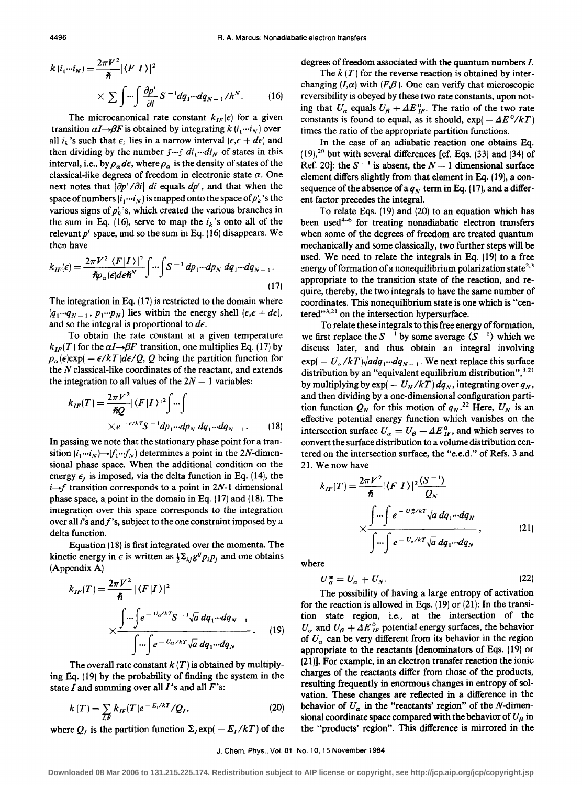$$
k(i_1\cdots i_N) = \frac{2\pi V^2}{\hbar} |\langle F|I\rangle|^2
$$
  
 
$$
\times \sum \int \cdots \int \frac{\partial p^i}{\partial i} S^{-1} dq_1 \cdots dq_{N-1} / h^N.
$$
 (16)

The microcanonical rate constant  $k_{IF}(\epsilon)$  for a given transition  $\alpha I \rightarrow \beta F$  is obtained by integrating  $k(i_1 \cdots i_N)$  over all  $i_k$ 's such that  $\epsilon_i$  lies in a narrow interval ( $\epsilon, \epsilon + d\epsilon$ ) and then dividing by the number  $f \cdots f \, di_1 \cdots di_N$  of states in this interval, i.e., by  $\rho_{\alpha}d\epsilon$ , where  $\rho_{\alpha}$  is the density of states of the classical-like degrees of freedom in electronic state  $\alpha$ . One next notes that  $|\partial p^{i}/\partial i|$  *di* equals  $dp^{i}$ , and that when the space of numbers  $(i_1 \cdots i_N)$  is mapped onto the space of  $p'_k$ 's the various signs of  $p_k^i$ 's, which created the various branches in the sum in Eq. (16), serve to map the  $i_k$ 's onto all of the relevant  $p<sup>i</sup>$  space, and so the sum in Eq. (16) disappears. We then have

$$
k_{IF}(\epsilon) = \frac{2\pi V^2 |\langle F|I \rangle|^2}{\hbar \rho_\alpha(\epsilon) d\epsilon \hbar^N} \int \cdots \int S^{-1} dp_1 \cdots dp_N dq_1 \cdots dq_{N-1}.
$$
\n(17)

The integration in Eq. (17) is restricted to the domain where  $(q_1 \cdots q_{N-1}, p_1 \cdots p_N)$  lies within the energy shell  $(\epsilon, \epsilon + d\epsilon)$ , and so the integral is proportional to *de.* 

To obtain the rate constant at a given temperature  $k_{IF}(T)$  for the  $\alpha I \rightarrow \beta F$  transition, one multiplies Eq. (17) by  $\rho_{\alpha}(\epsilon)$ exp( -  $\epsilon/kT$ )*d* $\epsilon/Q$ , Q being the partition function for the N classical-like coordinates of the reactant, and extends the integration to all values of the  $2N - 1$  variables:

$$
k_{IF}(T) = \frac{2\pi V^2}{\hbar Q} |\langle F|I\rangle|^2 \int \cdots \int
$$
  
 
$$
\times e^{-\epsilon/kT} S^{-1} dp_1 \cdots dp_N dq_1 \cdots dq_{N-1}.
$$
 (18)

In passing we note that the stationary phase point for a transition  $(i_1 \cdots i_N) \rightarrow (f_1 \cdots f_N)$  determines a point in the 2*N*-dimensional phase space. When the additional condition on the energy  $\epsilon_f$  is imposed, via the delta function in Eq. (14), the  $i \rightarrow f$  transition corresponds to a point in 2N-1 dimensional phase space, a point in the domain in Eq. ( 17) and ( 18). The integration over this space corresponds to the integration over all  $i$ 's and  $f$ 's, subject to the one constraint imposed by a delta function.

Equation (18) is first integrated over the momenta. The kinetic energy in  $\epsilon$  is written as  $\frac{1}{2}\sum_{i,j}g^{ij}p_{i}p_{j}$  and one obtains (Appendix A)

$$
k_{IF}(T) = \frac{2\pi V^2}{\hbar} |\langle F|I \rangle|^2
$$
  
 
$$
\times \frac{\int \dots \int e^{-U_{\alpha}/kT} S^{-1} \sqrt{a} dq_1 \dots dq_{N-1}}{\int \dots \int e^{-U_{\alpha}/kT} \sqrt{a} dq_1 \dots dq_N}.
$$
 (19)

The overall rate constant  $k(T)$  is obtained by multiplying Eq. ( 19) by the probability of finding the system in the state I and summing over all  $I$ 's and all  $F$ 's:

$$
k(T) = \sum_{I,F} k_{IF}(T)e^{-E_{I}/kT}/Q_{I},
$$
 (20)

where  $Q_I$  is the partition function  $\Sigma_I \exp(-E_I / kT)$  of the

degrees of freedom associated with the quantum numbers I.

The  $k(T)$  for the reverse reaction is obtained by interchanging  $(I,\alpha)$  with  $(F,\beta)$ . One can verify that microscopic reversibility is obeyed by these two rate constants, upon noting that  $U_{\alpha}$  equals  $U_{\beta} + \Delta E_{IF}^{0}$ . The ratio of the two rate constants is found to equal, as it should,  $\exp(-\Delta E^0/kT)$ times the ratio of the appropriate partition functions.

In the case of an adiabatic reaction one obtains Eq.  $(19)$ ,<sup>20</sup> but with several differences [cf. Eqs.  $(33)$  and  $(34)$  of Ref. 20]: the  $S^{-1}$  is absent, the  $N-1$  dimensional surface element differs slightly from that element in Eq. ( 19), a consequence of the absence of a  $q_N$  term in Eq. (17), and a different factor precedes the integral.

To relate Eqs. (19) and (20) to an equation which has been used<sup>4-6</sup> for treating nonadiabatic electron transfers when some of the degrees of freedom are treated quantum mechanically and some classically, two further steps will be used. We need to relate the integrals in Eq. (19) to a free energy of formation of a nonequilibrium polarization state<sup>2,3</sup> appropriate to the transition state of the reaction, and require, thereby, the two integrals to have the same number of coordinates. This nonequilibrium state is one which is "centered" $3,21$  on the intersection hypersurface.

To relate these integrals to this free energy of formation, we first replace the  $S^{-1}$  by some average  $\langle S^{-1} \rangle$  which we discuss later, and thus obtain an integral involving  $exp(- U_{\alpha}/kT)\sqrt{a}dq_1\cdots dq_{N-1}$ . We next replace this surface distribution by an "equivalent equilibrium distribution",  $3.21$ by multiplying by  $\exp(- U_N/kT) dq_N$ , integrating over  $q_N$ , and then dividing by a one-dimensional configuration partition function  $Q_N$  for this motion of  $q_N$ .<sup>22</sup> Here,  $U_N$  is an effective potential energy function which vanishes on the intersection surface  $U_a = U_\beta + \Delta E_F^0$ , and which serves to convert the surface distribution to a volume distribution centered on the intersection surface, the "e.e.d." of Refs. 3 and 21. We now have

$$
k_{IF}(T) = \frac{2\pi V^2}{\hbar} |\langle F|I\rangle|^2 \frac{\langle S^{-1}\rangle}{Q_N}
$$

$$
\times \frac{\int \cdots \int e^{-U_{\alpha}^* / kT} \sqrt{a} dq_1 \cdots dq_N}{\int \cdots \int e^{-U_{\alpha} / kT} \sqrt{a} dq_1 \cdots dq_N}, \qquad (21)
$$

where

$$
U_{\alpha}^* = U_{\alpha} + U_N. \tag{22}
$$

The possibility of having a large entropy of activation for the reaction is allowed in Eqs. (19) or (21): In the transition state region, i.e., at the intersection of the  $U_a$  and  $U_b + \Delta E_F^0$  potential energy surfaces, the behavior of *ua* can be very different from its behavior in the region appropriate to the reactants [denominators of Eqs. (19) or (21 )]. For example, in an electron transfer reaction the ionic charges of the reactants differ from those of the products, resulting frequently in enormous changes in entropy of solvation. These changes are reflected in a difference in the behavior of  $U_a$  in the "reactants' region" of the N-dimensional coordinate space compared with the behavior of  $U_{\beta}$  in the "products' region". This difference is mirrored in the

J. Chern. Phys., Vol. 81, No. 10,15 November 1984

**Downloaded 08 Mar 2006 to 131.215.225.174. Redistribution subject to AIP license or copyright, see http://jcp.aip.org/jcp/copyright.jsp**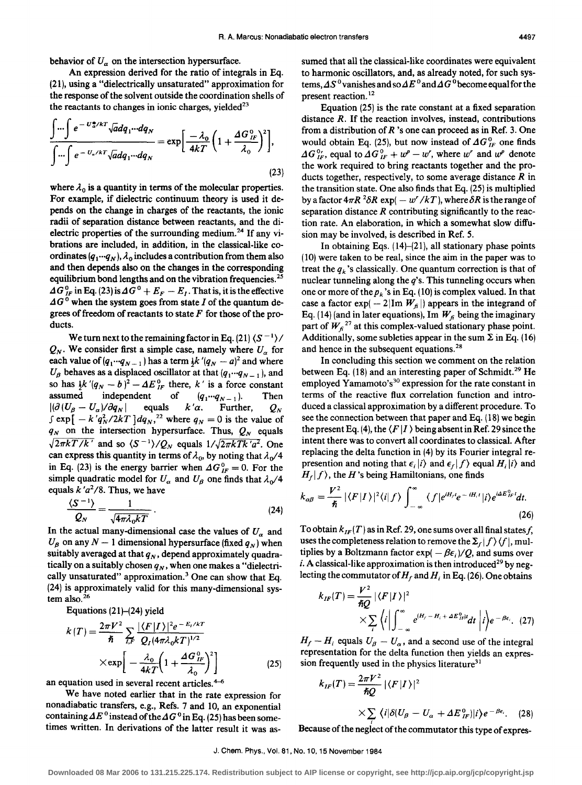behavior of  $U_{\alpha}$  on the intersection hypersurface.

An expression derived for the ratio of integrals in Eq. (21 ), using a "dielectrically unsaturated" approximation for the response of the solvent outside the coordination shells of the reactants to changes in ionic charges, yielded<sup>23</sup>

$$
\frac{\int \cdots \int e^{-\,U_{\alpha}^* \wedge kT} \sqrt{a} dq_1 \cdots dq_N}{\int \cdots \int e^{-\,U_{\alpha}/kT} \sqrt{a} dq_1 \cdots dq_N} = \exp \left[ \frac{-\lambda_0}{4k} \left( 1 + \frac{\Delta G_{IF}^0}{\lambda_0} \right)^2 \right],\tag{23}
$$

where  $\lambda_0$  is a quantity in terms of the molecular properties. For example, if dielectric continuum theory is used it depends on the change in charges of the reactants, the ionic radii of separation distance between reactants, and the dielectric properties of the surrounding medium.<sup>24</sup> If any vibrations are included, in addition, in the classical-like coordinates  $(q_1 \cdots q_N)$ ,  $\lambda_0$  includes a contribution from them also and then depends also on the changes in the corresponding equilibrium bond lengths and on the vibration frequencies.<sup>25</sup>  $\Delta G_{IF}^{0}$  in Eq. (23) is  $\Delta G^{0} + E_{F}- E_{I}$ . That is, it is the effective  $\Delta G^0$  when the system goes from state I of the quantum degrees of freedom of reactants to state  $F$  for those of the products.

We turn next to the remaining factor in Eq. (21)  $\langle S^{-1} \rangle /$  $Q_N$ . We consider first a simple case, namely where  $U_\alpha$  for each value of  $(q_1 \cdots q_{N-1})$  has a term  $\frac{1}{2}k'(q_N - a)^2$  and where  $U_{\beta}$  behaves as a displaced oscillator at that  $(q_1 \cdots q_{N-1})$ , and so has  $\frac{1}{2}k'(q_N - b)^2 - \Delta E_{IF}^0$  there, k' is a force constant assumed independent of  $(q_1 \cdots q_{N-1})$ . Then  $\left| \left( \partial \left( U_\beta - U_\alpha \right) / \partial q_N \right) \right|$ equals  $k'a$ . Further,  $Q_N$  $\int \exp\left[-k'q_N^2/2kT\right]dq_N^{22}$  where  $q_N = 0$  is the value of  $q_N$  on the intersection hypersurface. Thus,  $Q_N$  equals  $\sqrt{2\pi kT/k'}$  and so  $\langle S^{-1}\rangle/Q_N$  equals  $1/\sqrt{2\pi kTk'a^2}$ . One can express this quantity in terms of  $\lambda_0$ , by noting that  $\lambda_0/4$ in Eq. (23) is the energy barrier when  $\Delta G_F^0 = 0$ . For the simple quadratic model for  $U_a$  and  $U_\beta$  one finds that  $\lambda_0/4$ equals  $k/a^2/8$ . Thus, we have

$$
\frac{\langle S^{-1} \rangle}{Q_N} = \frac{1}{\sqrt{4\pi\lambda_0 kT}} \,. \tag{24}
$$

In the actual many-dimensional case the values of  $U_a$  and  $U_{\beta}$  on any  $N-1$  dimensional hypersurface (fixed  $q_N$ ) when suitably averaged at that  $q_N$ , depend approximately quadratically on a suitably chosen  $q_N$ , when one makes a "dielectrically unsaturated" approximation.<sup>3</sup> One can show that Eq. (24) is approximately valid for this many-dimensional system also. <sup>26</sup>

Equations (21)-(24) yield

$$
k(T) = \frac{2\pi V^2}{\hbar} \sum_{I,F} \frac{|\langle F|I\rangle|^2 e^{-E_I/kT}}{Q_I (4\pi \lambda_0 kT)^{1/2}} \times \exp\left[-\frac{\lambda_0}{4kT} \left(1 + \frac{4G_{IF}^0}{\lambda_0}\right)^2\right]
$$
(25)

an equation used in several recent articles. $4-6$ 

We have noted earlier that in the rate expression for nonadiabatic transfers, e.g., Refs. 7 and 10, an exponential containing  $\Delta E^0$  instead of the  $\Delta G^0$  in Eq. (25) has been sometimes written. In derivations of the latter result it was assumed that all the classical-like coordinates were equivalent to harmonic oscillators, and, as already noted, for such systems,  $\Delta S^0$  vanishes and so  $\Delta E^0$  and  $\Delta G^0$  become equal for the present reaction. 12

Equation (25) is the rate constant at a fixed separation distance *R*. If the reaction involves, instead, contributions from a distribution of *R* 's one can proceed as in Ref. 3. One would obtain Eq. (25), but now instead of  $\Delta G_F^0$  one finds  $\Delta G_{IF}^{0}$ , equal to  $\Delta G_{IF}^{0} + w^p - w^r$ , where w' and w<sup>p</sup> denote the work required to bring reactants together and the products together, respectively, to some average distance *R* in the transition state. One also finds that Eq. (25) is multiplied by a factor  $4\pi R^2 \delta R \exp(-w'/kT)$ , where  $\delta R$  is the range of separation distance *R* contributing significantly to the reaction rate. An elaboration, in which a somewhat slow diffusion may be involved, is described in Ref. 5.

In obtaining Eqs.  $(14)$ – $(21)$ , all stationary phase points ( 10) were taken to be real, since the aim in the paper was to treat the  $q_k$ 's classically. One quantum correction is that of nuclear tunneling along the *q's.* This tunneling occurs when one or more of the  $p_k$ 's in Eq. (10) is complex valued. In that case a factor exp( - 2|Im  $W_f$  | appears in the integrand of Eq. (14) (and in later equations), Im  $W_f$  being the imaginary part of  $W_f^{27}$  at this complex-valued stationary phase point. Additionally, some subleties appear in the sum  $\Sigma$  in Eq. (16) and hence in the subsequent equations.<sup>28</sup>

In concluding this section we comment on the relation between Eq.  $(18)$  and an interesting paper of Schmidt.<sup>29</sup> He employed Yamamoto's<sup>30</sup> expression for the rate constant in terms of the reactive flux correlation function and introduced a classical approximation by a different procedure. To see the connection between that paper and Eq. ( 18) we begin the present Eq. (4), the  $\langle F | I \rangle$  being absent in Ref. 29 since the intent there was to convert all coordinates to classical. After replacing the delta function in (4) by its Fourier integral represention and noting that  $\epsilon_i|i\rangle$  and  $\epsilon_f|f\rangle$  equal  $H_i|i\rangle$  and  $H_f | f$ , the H's being Hamiltonians, one finds

$$
k_{\alpha\beta} = \frac{V^2}{\hbar} |\langle F|I\rangle|^2 \langle i|f\rangle \int_{-\infty}^{\infty} \langle f|e^{iH_f t}e^{-iH_i t}|i\rangle e^{i\Delta E_{1f}^0 t} dt.
$$
\n(26)

To obtain  $k_{IF}(T)$  as in Ref. 29, one sums over all final states f, uses the completeness relation to remove the  $\Sigma_f$   $f$   $\rangle$   $\langle f \rangle$ , multiplies by a Boltzmann factor  $exp(-\beta \epsilon_i)/Q$ , and sums over *i*. A classical-like approximation is then introduced<sup>29</sup> by neglecting the commutator of  $H_f$  and  $H_i$  in Eq. (26). One obtains

$$
k_{IF}(T) = \frac{V^2}{\hbar Q} |\langle F|I \rangle|^2
$$
  
 
$$
\times \sum_{i} \langle i | \int_{-\infty}^{\infty} e^{iH_{j} - H_{i} + \Delta E_{IF}^{0}i} dt | i \rangle e^{-\beta \epsilon_{i}}.
$$
 (27)

 $H_f - H_i$  equals  $U_\beta - U_\alpha$ , and a second use of the integral representation for the delta function then yields an expression frequently used in the physics literature<sup>31</sup>

$$
k_{IF}(T) = \frac{2\pi V^2}{\hbar Q} |\langle F|I \rangle|^2
$$
  
 
$$
\times \sum_{i} \langle i|\delta(U_{\beta} - U_{\alpha} + \Delta E_{IF}^{0})|i\rangle e^{-\beta \epsilon_{i}}.
$$
 (28)

Because of the neglect of the commutator this type of expres-

J. Chern. Phys., Vol. 81, No. 10, 15 November 1984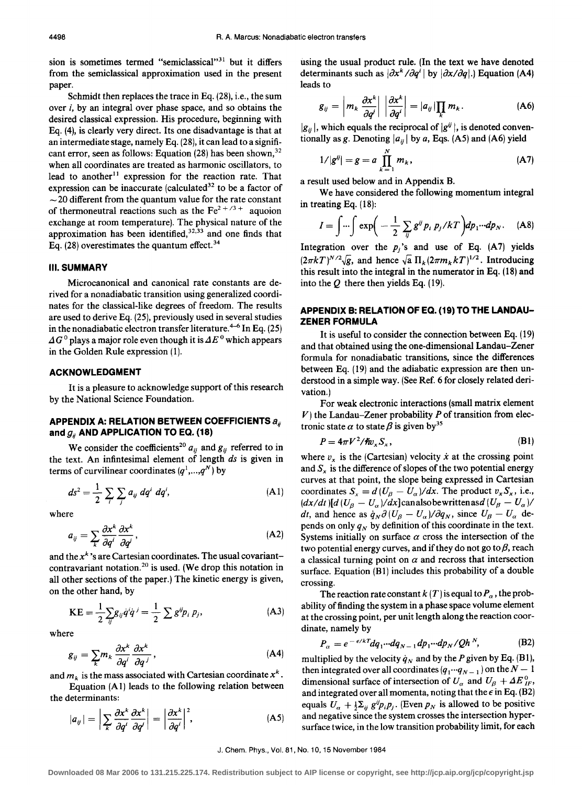sion is sometimes termed "semiclassical"<sup>31</sup> but it differs from the semiclassical approximation used in the present paper.

Schmidt then replaces the trace in Eq. (28), i.e., the sum over i, by an integral over phase space, and so obtains the desired classical expression. His procedure, beginning with Eq. (4), is clearly very direct. Its one disadvantage is that at an intermediate stage, namely Eq. (28), it can lead to a significant error, seen as follows: Equation (28) has been shown,  $32$ when all coordinates are treated as harmonic oscillators, to lead to another<sup>11</sup> expression for the reaction rate. That expression can be inaccurate (calculated $32$  to be a factor of  $\sim$  20 different from the quantum value for the rate constant of thermoneutral reactions such as the  $Fe^{2+/3+}$  aquoion exchange at room temperature). The physical nature of the approximation has been identified,  $32,33$  and one finds that Eq. (28) overestimates the quantum effect.  $34$ 

#### Ill. **SUMMARY**

Microcanonical and canonical rate constants are derived for a nonadiabatic transition using generalized coordinates for the classical-like degrees of freedom. The results are used to derive Eq. (25), previously used in several studies in the nonadiabatic electron transfer literature.<sup>4-6</sup> In Eq. (25)  $\Delta G^0$  plays a major role even though it is  $\Delta E^0$  which appears in the Golden Rule expression (1).

#### **ACKNOWLEDGMENT**

It is a pleasure to acknowledge support of this research by the National Science Foundation.

## **APPENDIX A: RELATION BETWEEN COEFFICIENTS**  $a_{ii}$ and  $g_{ii}$  AND APPLICATION TO EQ. (18)

We consider the coefficients<sup>20</sup>  $a_{ij}$  and  $g_{ij}$  referred to in the text. An infintesimal element of length *ds* is given in

terms of curvilinear coordinates 
$$
(q^1,...,q^N)
$$
 by  
\n
$$
ds^2 = \frac{1}{2} \sum_i \sum_j a_{ij} dq^i dq^i,
$$
\n(A1)

where

$$
a_{ij} = \sum_{k} \frac{\partial x^{k}}{\partial q^{i}} \frac{\partial x^{k}}{\partial q^{j}},
$$
 (A2)

and the  $x^k$ 's are Cartesian coordinates. The usual covariantcontravariant notation.<sup>20</sup> is used. (We drop this notation in all other sections of the paper.) The kinetic energy is given, on the other hand, by

$$
KE = \frac{1}{2} \sum_{ij} g_{ij} \dot{q}^i \dot{q}^j = \frac{1}{2} \sum g^{ij} p_i p_j,
$$
 (A3)

where

$$
g_{ij} = \sum_{k} m_{k} \frac{\partial x^{k}}{\partial q^{i}} \frac{\partial x^{k}}{\partial q^{j}}, \qquad (A4)
$$

and  $m_k$  is the mass associated with Cartesian coordinate  $x^k$ .

Equation (A 1) leads to the following relation between the determinants:

$$
|a_{ij}| = \left| \sum_{k} \frac{\partial x^{k}}{\partial q^{i}} \frac{\partial x^{k}}{\partial q^{j}} \right| = \left| \frac{\partial x^{k}}{\partial q^{i}} \right|^{2}, \tag{A5}
$$

using the usual product rule. (In the text we have denoted determinants such as  $|\partial x^k/\partial q^i|$  by  $|\partial x/\partial q|$ .) Equation (A4) leads to

$$
g_{ij} = \left| m_k \frac{\partial x^k}{\partial q^i} \right| \left| \frac{\partial x^k}{\partial q^i} \right| = |a_{ij}| \prod_k m_k. \tag{A6}
$$

 $|g_{ii}|$ , which equals the reciprocal of  $|g^{ij}|$ , is denoted conventionally as *g*. Denoting  $|a_{ij}|$  by *a*, Eqs. (A5) and (A6) yield

$$
1/|g^{ij}| = g = a \prod_{k=1}^{N} m_k,
$$
 (A7)

a result used below and in Appendix B.

We have considered the following momentum integral in treating Eq. (18):

$$
I = \int \cdots \int \exp\biggl(-\frac{1}{2}\sum_{ij}g^{ij}p_i p_j / kT\biggr)dp_1 \cdots dp_N. \quad (A8)
$$

Integration over the  $p_i$ 's and use of Eq.  $(A7)$  yields  $(2\pi kT)^{N/2}\sqrt{g}$ , and hence  $\sqrt{a} \Pi_k(2\pi m_k kT)^{1/2}$ . Introducing this result into the integral in the numerator in Eq. (18) and into the *Q* there then yields Eq. (19).

## **APPENDIX B: RELATION OF EQ. (19) TO THE LANDAU-ZENER FORMULA**

It is useful to consider the connection between Eq. (19) and that obtained using the one-dimensional Landau-Zener formula for nonadiabatic transitions, since the differences between Eq. ( 19) and the adiabatic expression are then understood in a simple way. (See Ref. 6 for closely related derivation.)

For weak electronic interactions (small matrix element  $V$ ) the Landau-Zener probability  $P$  of transition from electronic state  $\alpha$  to state  $\beta$  is given by<sup>35</sup>

$$
P = 4\pi V^2 / \hbar v_x S_x, \qquad (B1)
$$

where  $v<sub>x</sub>$  is the (Cartesian) velocity  $\dot{x}$  at the crossing point and  $S<sub>x</sub>$  is the difference of slopes of the two potential energy curves at that point, the slope being expressed in Cartesian coordinates  $S_x = d(U_\beta - U_\alpha)/dx$ . The product  $v_x S_x$ , i.e.,  $\frac{dx}{dt}$   $\left[\frac{d}{d}(U_{\beta} - U_{\alpha})}{dx\right]$ canalsobewrittenas $\frac{d}{d}(U_{\beta} - U_{\alpha})}{dx}$ *dt*, and hence as  $\dot{q}_N \partial (U_\beta - U_\alpha)/\partial q_N$ , since  $U_\beta - U_\alpha$  depends on only  $q_N$  by definition of this coordinate in the text. Systems initially on surface  $\alpha$  cross the intersection of the two potential energy curves, and if they do not go to  $\beta$ , reach a classical turning point on  $\alpha$  and recross that intersection surface. Equation  $(B1)$  includes this probability of a double crossing.

The reaction rate constant  $k(T)$  is equal to  $P_{\alpha}$ , the probability of finding the system in a phase space volume element at the crossing point, per unit length along the reaction coordinate, namely by

$$
P_{\alpha} = e^{-\epsilon/kT} dq_1 \cdots dq_{N-1} dp_1 \cdots dp_N / Qh^N, \tag{B2}
$$

multiplied by the velocity  $\dot{q}_N$  and by the P given by Eq. (B1), then integrated over all coordinates  $(q_1 \cdots q_{N-1})$  on the  $N-1$ dimensional surface of intersection of  $U_{\alpha}$  and  $U_{\beta} + \Delta E_{IF}^{0}$ , and integrated over all momenta, noting that the  $\epsilon$  in Eq. (B2) equals  $U_a + \frac{1}{2}\sum_{ij} g^{ij}p_i p_j$ . (Even  $p_N$  is allowed to be positive and negative since the system crosses the intersection hypersurface twice, in the low transition probability limit, for each

**Downloaded 08 Mar 2006 to 131.215.225.174. Redistribution subject to AIP license or copyright, see http://jcp.aip.org/jcp/copyright.jsp**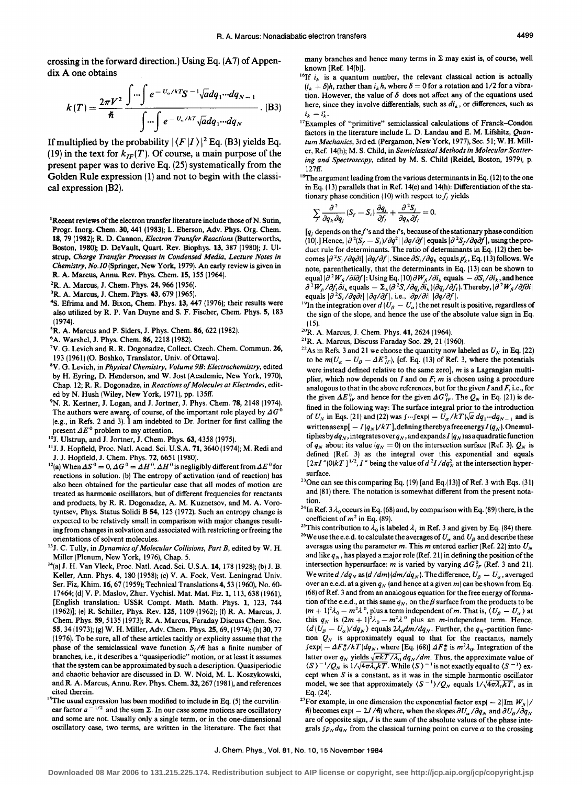crossing in the forward direction.) Using Eq. (A7) of Appendix A one obtains

$$
k(T) = \frac{2\pi V^2}{\hbar} \frac{\int \cdots \int e^{-U_a/kT} S^{-1} \sqrt{a} dq_1 \cdots dq_{N-1}}{\int \cdots \int e^{-U_a/kT} \sqrt{a} dq_1 \cdots dq_N}.
$$
 (B3)

If multiplied by the probability  $|\langle F|I\rangle|^2$  Eq. (B3) yields Eq. (19) in the text for  $k_{IF}(T)$ . Of course, a main purpose of the present paper was to derive Eq. (25) systematically from the Golden Rule expression (1) and not to begin with the classical expression (B2).

<sup>1</sup>Recent reviews of the electron transfer literature include those of N. Sutin, Progr. Inorg. Chern. 30,441 (1983); L. Eberson, Adv. Phys. Org. Chern. 18, 79 (1982); R. D. Cannon, *Electron Transfer Reactions* (Butterworths, Boston, 1980); D. DeVault, Quart. Rev. Biophys. 13, 387 (1980); J. Ulstrup, *Charge Transfer Processes in Condensed Media, Lecture Notes in Chemistry, No./0* (Springer, New York, 1979). An early review is given in R. A. Marcus, Annu. Rev. Phys. Chern. 15, 155 (1964).

- 
- <sup>2</sup>R. A. Marcus, J. Chem. Phys. 24, 966 (1956). <sup>3</sup>R. A. Marcus, J. Chem. Phys. 43, 679 (1965).  $43/47$  (1976); their results were also utilized by R. P. Van Duyne and S. F. Fischer, Chem. Phys. 5, 183 (1974).
- <sup>5</sup>R. A. Marcus and P. Siders, J. Phys. Chem. 86, 622 (1982). <sup>6</sup>A. Warshel, J. Phys. Chem. 86, 2218 (1982).
- 
- V. G. Levich and R. R. Dogonadze, Collect. Czech. Chern. Commun. 26, 193 (1961) (0. Boshko, Translator, Univ. of Ottawa). 8V. G. Levich, in *Physical Chemistry, Volume 9B: Electrochemistry,* edited
- by H. Eyring, D. Henderson, and W. Jost (Academic, New York, 1970), Chap. 12; R. R. Dogonadze, in *Reactions of Molecules at Electrodes,* edited by N. Hush (Wiley, New York, 1971), pp. 135ff.
- <sup>9</sup>N. R. Kestner, J. Logan, and J. Jortner, J. Phys. Chem. 78, 2148 (1974). The authors were aware, of course, of the important role played by  $\Delta G^0$ (e.g., in Refs. 2 and 3).  $\hat{I}$  am indebted to Dr. Jortner for first calling the present  $\Delta E^0$  problem to my attention.
- *<sup>10</sup>*1. Ulstrup, and J. Jortner, J. Chern. Phys. 63,4358 (1975).
- <sup>11</sup>J. J. Hopfield, Proc. Natl. Acad. Sci. U.S.A. 71, 3640 (1974); M. Redi and
- **J.** J. Hopfield, J. Chem. Phys. 72, 6651 (1980).  $1^2(a)$  When  $\Delta S^0 = 0$ ,  $\Delta G^0 = \Delta H^0$ .  $\Delta H^0$  is negligibly different from  $\Delta E^0$  for reactions in solution. (b) The entropy of activation (and of reaction) has also been obtained for the particular case that all modes of motion are treated as harmonic oscillators, but of different frequencies for reactants and products, by R. R. Dogonadze, A.M. Kuznetsov, and M.A. Vorotyntsev, Phys. Status Solidi B 54, 125 (1972). Such an entropy change is expected to be relatively small in comparison with major changes resulting from changes in solvation and associated with restricting or freeing the orientations of solvent molecules. 13J. C. Tully, in *Dynamics of Molecular Collisions, Part B,* edited by W. H.
- Miller (Plenum, New York, 1976), Chap. *5.*
- 14(a) J. H. Van Vleck, Proc. Natl. Acad. Sci. U.S.A. 14, 178 (1928); (b) J. B. Keller, Ann. Phys. 4, 180 (1958); (c) V. A. Fock, Vest. Leningrad Univ. Ser. Fiz, Khim.16, 67 (1959); Technical Translations4, 53 (1960), No. 60- 17464; (d) V. P. Maslov, Zhur. Vychisl. Mat. Mat. Fiz. 1, 113,638 (1961), [English translation: USSR Compt. Math. Math. Phys. 1, 123, 744 (1962)]; (e) R. Schiller, Phys. Rev. 125, 1109 (1962); (f) R. A. Marcus, J. Chern. Phys. 59, 5135 (1973); R. A. Marcus, Faraday Discuss Chern. Soc. 55,34 (1973); (g) W. H. Miller, Adv. Chern. Phys. 25, 69, (1974); (h) 30,77 ( 1976). To be sure, all of these articles tacitly or explicity assume that the phase of the semiclassical wave function  $S_i/\hbar$  has a finite number of branches, i.e., it describes a "quasiperiodic" motion, or at least it assumes that the system can be approximated by such a description. Quasiperiodic and chaotic behavior are discussed in D. W. Noid, M. L. Koszykowski, and R. A. Marcus, Annu. Rev. Phys. Chem. 32, 267 (1981), and references cited therein.<br><sup>15</sup>The usual expression has been modified to include in Eq. (5) the curvilin-
- ear factor  $a^{-1/2}$  and the sum  $\Sigma$ . In our case some motions are oscillatory and some are not. Usually only a single term, or in the one-dimensional oscillatory case, two terms, are written in the literature. The fact that

many branches and hence many terms in  $\Sigma$  may exist is, of course, well known [Ref. 14(b)].

- <sup>16</sup>If  $i_k$  is a quantum number, the relevant classical action is actually  $(i_k + \delta)h$ , rather than  $i_k h$ , where  $\delta = 0$  for a rotation and 1/2 for a vibration. However, the value of  $\delta$  does not affect any of the equations used here, since they involve differentials, such as  $di_k$ , or differences, such as  $i_k - i'_k$ .
- 17Examples of "primitive" semiclassical calculations of Franck-Condon factors in the literature include L. D. Landau and E. M. Lifshitz, *Quantum Mechanics,* 3rd ed. (Pergamon, New York, 1977), Sec. 51; W. H. Miller, Ref. 14(h); M. S. Child, in *Semiclassical Methods in Molecular Scattering and Spectroscopy,* edited by M. S. Child (Reidel, Boston, 1979), p. 127ff.
- $^{18}$ The argument leading from the various determinants in Eq. (12) to the one in Eq. (13) parallels that in Ref. 14(e) and 14(h): Differentiation of the stationary phase condition (10) with respect to  $f_i$  yields

$$
\sum_j \frac{\partial^2}{\partial q_k \partial q_j} (S_f - S_i) \frac{\partial q_j}{\partial f_i} + \frac{\partial^2 S_j}{\partial q_k \partial f_i} = 0.
$$

 $[q_i]$  depends on the f's and the i's, because of the stationary phase condition (10).] Hence,  $|\partial^2 (S_f - S_i)/\partial q^2|$   $|\partial q/\partial f|$  equals  $|\partial^2 S_f/\partial q \partial f|$ , using the product rule for determinants. The ratio of determinants in Eq. ( 12) then becomes  $|\partial^2 S_i/\partial q \partial i| |\partial q/\partial f|$ . Since  $\partial S_i/\partial q_k$  equals  $p'_k$ , Eq. (13) follows. We note, parenthetically, that the determinants in Eq. (13) can be shown to equal  $|\partial^2 W_{fi}/\partial i\partial f|$ : Using Eq. (10)  $\partial W_{fi}/\partial i_k$  equals  $-\partial S_i/\partial i_k$ , and hence  $\partial^2 W_{\hat{H}}/\partial f_l \partial i_k$  equals  $= \Sigma_k (\partial^2 S_i/\partial q_j \partial i_k)(\partial q_j/\partial f_l)$ . Thereby,  $|\partial^2 W_{\hat{H}}/\partial f \partial i|$ equals  $|\partial^2 S_i/\partial q \partial i| |\partial q/\partial f|$ , i.e.,  $|\partial p/\partial i| |\partial q/\partial f|$ .

- <sup>19</sup>In the integration over  $d$  (  $U_\beta U_\alpha$  ) the net result is positive, regardless of the sign of the slope, and hence the use of the absolute value sign in Eq.
- (15).  $^{20}$ R. A. Marcus, J. Chem. Phys. 41, 2624 (1964).
- 
- <sup>21</sup>R. A. Marcus, Discuss Faraday Soc. 29, 21 (1960). <sup>22</sup>As in Refs. 3 and 21 we choose the quantity now labeled as  $U<sub>N</sub>$  in Eq. (22) to be  $m(U_{\alpha} - U_{\beta} - \Delta E_{IF}^{0})$ , [cf. Eq. (13) of Ref. 3, where the potentials were instead defined relative to the same zero], *m* is a Lagrangian multiplier, which now depends on *I* and on *F; m* is chosen using a procedure analogous to that in the above references, but for the given *I* and *F,* i.e., for the given  $\Delta E_{IF}^0$  and hence for the given  $\Delta G_{IF}^0$ . The  $Q_N$  in Eq. (21) is defined in the following way: The surface integral prior to the introduction of  $U_N$  in Eqs. (21) and (22) was  $\int \cdots \int \exp(-U_\alpha/kT) \sqrt{a} dq_1 \cdots dq_{N-1}$  and is writtenasexp $[- I(q_N)/kT]$ , defining thereby a free energy  $I(q_N)$ . One multiplies by  $dq_N$ , integrates over  $q_N$ , and expands  $I(q_N)$  as a quadratic function of  $q_N$  about its value  $(q_N = 0)$  on the intersection surface (Ref. 3).  $Q_N$  is defined (Ref. 3) as the integral over this exponential and equals  $[2\pi I''(0)kT]^{1/2}$ , I'' being the value of  $d^2I/dq_N^2$  at the intersection hypersurface.
- <sup>23</sup>One can see this comparing Eq.  $(19)$  [and Eq. $(13)$ ] of Ref. 3 with Eqs.  $(31)$ and (81) there. The notation is somewhat different from the present notation.
- <sup>24</sup>In Ref. 3  $\lambda_0$  occurs in Eq. (68) and, by comparison with Eq. (89) there, is the coefficient of  $m^2$  in Eq. (89).
- <sup>25</sup>This contribution to  $\overline{\lambda}_0$  is labeled  $\lambda_i$  in Ref. 3 and given by Eq. (84) there. <sup>26</sup>We use the e.e.d. to calculate the averages of  $U_a$  and  $U_b$  and describe these averages using the parameter *m*. This *m* entered earlier (Ref. 22) into  $U_N$ and like  $q_N$ , has played a major role (Ref. 21) in defining the position of the intersection hypersurface: m is varied by varying  $\Delta G_F^0$  (Ref. 3 and 21). We write  $d / dq_N$  as  $(d / dm)$   $(dm / dq_N)$ . The difference,  $U_\beta - U_\alpha$ , averaged over an e.e.d. at a given  $q_N$  (and hence at a given m) can be shown from Eq. ( 68) of Ref. 3 and from an analogous equation for the free energy of formation of the e.e.d., at this same  $q_N$ , on the  $\beta$  surface from the products to be  $(m + 1)^2 \lambda_0 - m^2 \lambda^0$ , plus a term independent of m. That is,  $\langle U_\beta - U_\alpha \rangle$  at this  $q_N$  is  $(2m + 1)^2 \lambda_0 - m^2 \lambda^0$  plus an *m*-independent term. Hence,  $\langle d(U_{\beta} - U_{\alpha})/dq_N \rangle$  equals  $2\lambda_0 dm/dq_N$ . Further, the  $q_N$ -partition function  $Q_N$  is approximately equal to that for the reactants, namely  $f \exp(-\Delta F_0^* / kT) dq_N$ , where [Eq. (68)]  $\Delta F_0^*$  is  $m^2 \lambda_0$ . Integration of the latter over  $q_N$  yields  $\sqrt{\pi kT/\lambda_0} dq_N/dm$ . Thus, the approximate value of  $\langle S \rangle^{-1}/Q_N$  is  $1/\sqrt{4\pi\lambda_0 kT}$ . While  $\langle S \rangle^{-1}$  is not exactly equal to  $\langle S^{-1} \rangle$  except when  $S$  is a constant, as it was in the simple harmontic oscillator model, we see that approximately  $\langle S^{-1} \rangle / Q_N$  equals  $1/\sqrt{4\pi\lambda_0 kT}$ , as in
- Eq. (24). <sup>27</sup>For example, in one dimension the exponential factor exp( 2|Im  $W_f$ |/  $\hbar$ ) becomes exp( - 2J/ $\hbar$ ) where, when the slopes  $\partial U_{\alpha}/\partial q_N$  and  $\partial U_{\beta}/\partial q_N$ are of opposite sign, *J* is the sum of the absolute values of the phase integrals  $\int p_N dq_N$  from the classical turning point on curve  $\alpha$  to the crossing